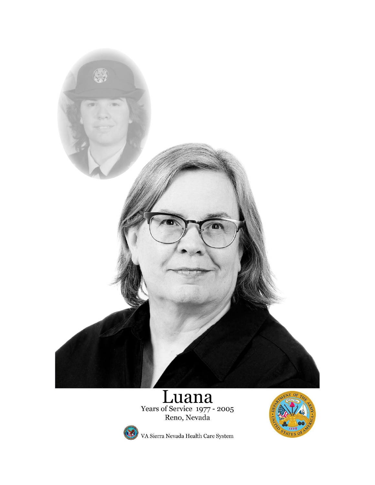

# Euana



VA Sierra Nevada Health Care System

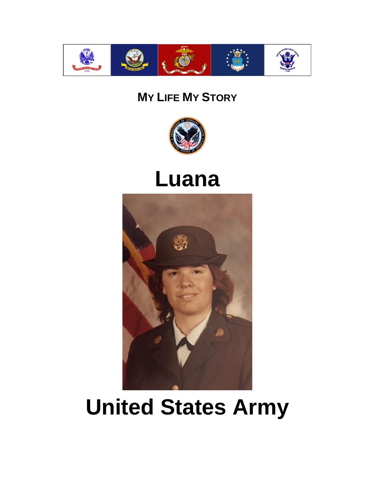

#### **MY LIFE MY STORY**



### **Luana**



## **United States Army**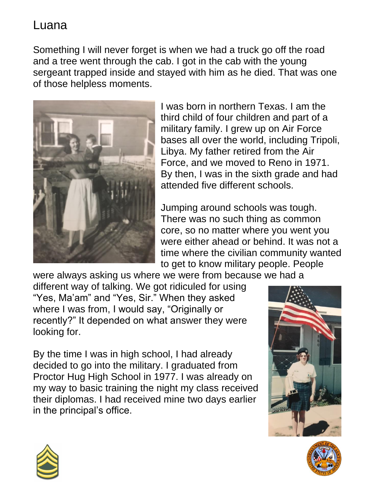Something I will never forget is when we had a truck go off the road and a tree went through the cab. I got in the cab with the young sergeant trapped inside and stayed with him as he died. That was one of those helpless moments.



I was born in northern Texas. I am the third child of four children and part of a military family. I grew up on Air Force bases all over the world, including Tripoli, Libya. My father retired from the Air Force, and we moved to Reno in 1971. By then, I was in the sixth grade and had attended five different schools.

Jumping around schools was tough. There was no such thing as common core, so no matter where you went you were either ahead or behind. It was not a time where the civilian community wanted to get to know military people. People

were always asking us where we were from because we had a different way of talking. We got ridiculed for using "Yes, Ma'am" and "Yes, Sir." When they asked where I was from, I would say, "Originally or recently?" It depended on what answer they were looking for.

By the time I was in high school, I had already decided to go into the military. I graduated from Proctor Hug High School in 1977. I was already on my way to basic training the night my class received their diplomas. I had received mine two days earlier in the principal's office.





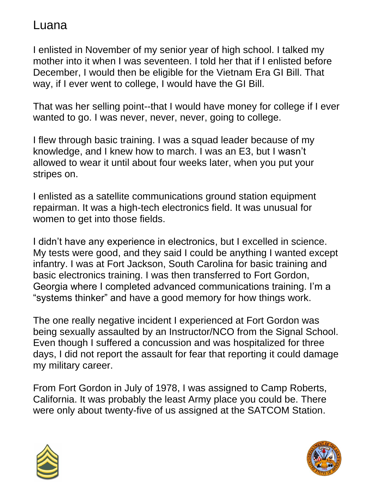I enlisted in November of my senior year of high school. I talked my mother into it when I was seventeen. I told her that if I enlisted before December, I would then be eligible for the Vietnam Era GI Bill. That way, if I ever went to college, I would have the GI Bill.

That was her selling point--that I would have money for college if I ever wanted to go. I was never, never, never, going to college.

I flew through basic training. I was a squad leader because of my knowledge, and I knew how to march. I was an E3, but I wasn't allowed to wear it until about four weeks later, when you put your stripes on.

I enlisted as a satellite communications ground station equipment repairman. It was a high-tech electronics field. It was unusual for women to get into those fields.

I didn't have any experience in electronics, but I excelled in science. My tests were good, and they said I could be anything I wanted except infantry. I was at Fort Jackson, South Carolina for basic training and basic electronics training. I was then transferred to Fort Gordon, Georgia where I completed advanced communications training. I'm a "systems thinker" and have a good memory for how things work.

The one really negative incident I experienced at Fort Gordon was being sexually assaulted by an Instructor/NCO from the Signal School. Even though I suffered a concussion and was hospitalized for three days, I did not report the assault for fear that reporting it could damage my military career.

From Fort Gordon in July of 1978, I was assigned to Camp Roberts, California. It was probably the least Army place you could be. There were only about twenty-five of us assigned at the SATCOM Station.



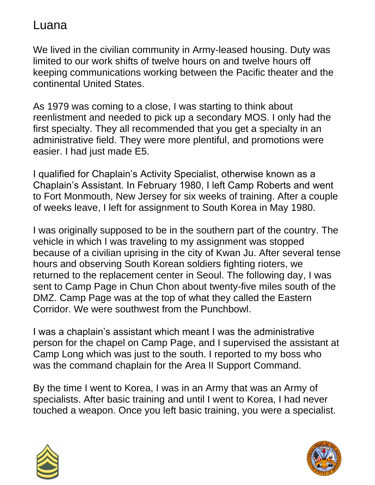We lived in the civilian community in Army-leased housing. Duty was limited to our work shifts of twelve hours on and twelve hours off keeping communications working between the Pacific theater and the continental United States.

As 1979 was coming to a close, I was starting to think about reenlistment and needed to pick up a secondary MOS. I only had the first specialty. They all recommended that you get a specialty in an administrative field. They were more plentiful, and promotions were easier. I had just made E5.

I qualified for Chaplain's Activity Specialist, otherwise known as a Chaplain's Assistant. In February 1980, I left Camp Roberts and went to Fort Monmouth, New Jersey for six weeks of training. After a couple of weeks leave, I left for assignment to South Korea in May 1980.

I was originally supposed to be in the southern part of the country. The vehicle in which I was traveling to my assignment was stopped because of a civilian uprising in the city of Kwan Ju. After several tense hours and observing South Korean soldiers fighting rioters, we returned to the replacement center in Seoul. The following day, I was sent to Camp Page in Chun Chon about twenty-five miles south of the DMZ. Camp Page was at the top of what they called the Eastern Corridor. We were southwest from the Punchbowl.

I was a chaplain's assistant which meant I was the administrative person for the chapel on Camp Page, and I supervised the assistant at Camp Long which was just to the south. I reported to my boss who was the command chaplain for the Area II Support Command.

By the time I went to Korea, I was in an Army that was an Army of specialists. After basic training and until I went to Korea, I had never touched a weapon. Once you left basic training, you were a specialist.



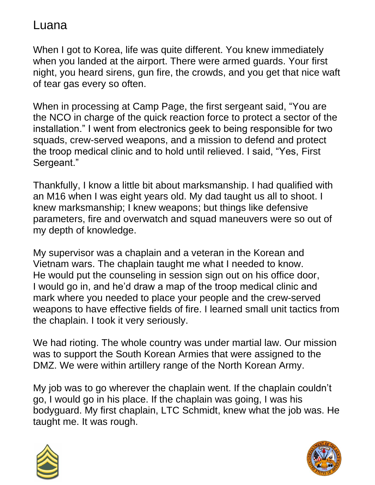When I got to Korea, life was quite different. You knew immediately when you landed at the airport. There were armed guards. Your first night, you heard sirens, gun fire, the crowds, and you get that nice waft of tear gas every so often.

When in processing at Camp Page, the first sergeant said, "You are the NCO in charge of the quick reaction force to protect a sector of the installation." I went from electronics geek to being responsible for two squads, crew-served weapons, and a mission to defend and protect the troop medical clinic and to hold until relieved. I said, "Yes, First Sergeant."

Thankfully, I know a little bit about marksmanship. I had qualified with an M16 when I was eight years old. My dad taught us all to shoot. I knew marksmanship; I knew weapons; but things like defensive parameters, fire and overwatch and squad maneuvers were so out of my depth of knowledge.

My supervisor was a chaplain and a veteran in the Korean and Vietnam wars. The chaplain taught me what I needed to know. He would put the counseling in session sign out on his office door, I would go in, and he'd draw a map of the troop medical clinic and mark where you needed to place your people and the crew-served weapons to have effective fields of fire. I learned small unit tactics from the chaplain. I took it very seriously.

We had rioting. The whole country was under martial law. Our mission was to support the South Korean Armies that were assigned to the DMZ. We were within artillery range of the North Korean Army.

My job was to go wherever the chaplain went. If the chaplain couldn't go, I would go in his place. If the chaplain was going, I was his bodyguard. My first chaplain, LTC Schmidt, knew what the job was. He taught me. It was rough.



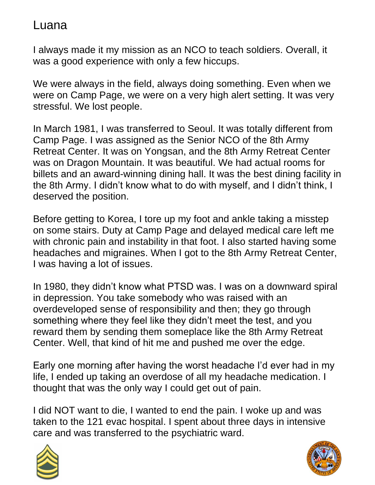I always made it my mission as an NCO to teach soldiers. Overall, it was a good experience with only a few hiccups.

We were always in the field, always doing something. Even when we were on Camp Page, we were on a very high alert setting. It was very stressful. We lost people.

In March 1981, I was transferred to Seoul. It was totally different from Camp Page. I was assigned as the Senior NCO of the 8th Army Retreat Center. It was on Yongsan, and the 8th Army Retreat Center was on Dragon Mountain. It was beautiful. We had actual rooms for billets and an award-winning dining hall. It was the best dining facility in the 8th Army. I didn't know what to do with myself, and I didn't think, I deserved the position.

Before getting to Korea, I tore up my foot and ankle taking a misstep on some stairs. Duty at Camp Page and delayed medical care left me with chronic pain and instability in that foot. I also started having some headaches and migraines. When I got to the 8th Army Retreat Center, I was having a lot of issues.

In 1980, they didn't know what PTSD was. I was on a downward spiral in depression. You take somebody who was raised with an overdeveloped sense of responsibility and then; they go through something where they feel like they didn't meet the test, and you reward them by sending them someplace like the 8th Army Retreat Center. Well, that kind of hit me and pushed me over the edge.

Early one morning after having the worst headache I'd ever had in my life, I ended up taking an overdose of all my headache medication. I thought that was the only way I could get out of pain.

I did NOT want to die, I wanted to end the pain. I woke up and was taken to the 121 evac hospital. I spent about three days in intensive care and was transferred to the psychiatric ward.



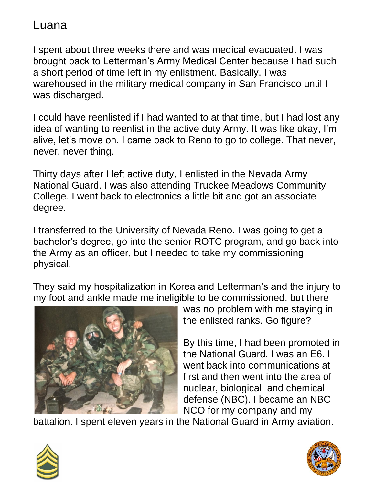I spent about three weeks there and was medical evacuated. I was brought back to Letterman's Army Medical Center because I had such a short period of time left in my enlistment. Basically, I was warehoused in the military medical company in San Francisco until I was discharged.

I could have reenlisted if I had wanted to at that time, but I had lost any idea of wanting to reenlist in the active duty Army. It was like okay, I'm alive, let's move on. I came back to Reno to go to college. That never, never, never thing.

Thirty days after I left active duty, I enlisted in the Nevada Army National Guard. I was also attending Truckee Meadows Community College. I went back to electronics a little bit and got an associate degree.

I transferred to the University of Nevada Reno. I was going to get a bachelor's degree, go into the senior ROTC program, and go back into the Army as an officer, but I needed to take my commissioning physical.

They said my hospitalization in Korea and Letterman's and the injury to my foot and ankle made me ineligible to be commissioned, but there



was no problem with me staying in the enlisted ranks. Go figure?

By this time, I had been promoted in the National Guard. I was an E6. I went back into communications at first and then went into the area of nuclear, biological, and chemical defense (NBC). I became an NBC NCO for my company and my

battalion. I spent eleven years in the National Guard in Army aviation.



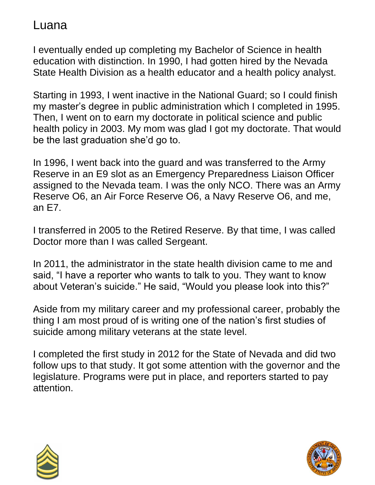I eventually ended up completing my Bachelor of Science in health education with distinction. In 1990, I had gotten hired by the Nevada State Health Division as a health educator and a health policy analyst.

Starting in 1993, I went inactive in the National Guard; so I could finish my master's degree in public administration which I completed in 1995. Then, I went on to earn my doctorate in political science and public health policy in 2003. My mom was glad I got my doctorate. That would be the last graduation she'd go to.

In 1996, I went back into the guard and was transferred to the Army Reserve in an E9 slot as an Emergency Preparedness Liaison Officer assigned to the Nevada team. I was the only NCO. There was an Army Reserve O6, an Air Force Reserve O6, a Navy Reserve O6, and me, an E7.

I transferred in 2005 to the Retired Reserve. By that time, I was called Doctor more than I was called Sergeant.

In 2011, the administrator in the state health division came to me and said, "I have a reporter who wants to talk to you. They want to know about Veteran's suicide." He said, "Would you please look into this?"

Aside from my military career and my professional career, probably the thing I am most proud of is writing one of the nation's first studies of suicide among military veterans at the state level.

I completed the first study in 2012 for the State of Nevada and did two follow ups to that study. It got some attention with the governor and the legislature. Programs were put in place, and reporters started to pay attention.



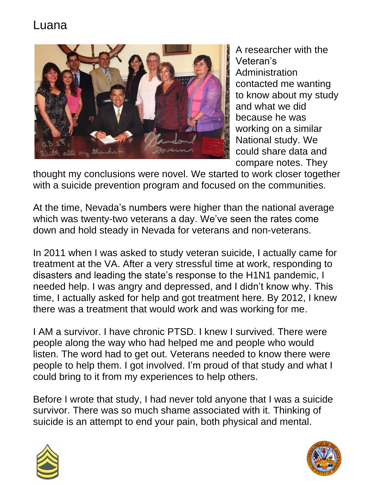

A researcher with the Veteran's Administration contacted me wanting to know about my study and what we did because he was working on a similar National study. We could share data and compare notes. They

thought my conclusions were novel. We started to work closer together with a suicide prevention program and focused on the communities.

At the time, Nevada's numbers were higher than the national average which was twenty-two veterans a day. We've seen the rates come down and hold steady in Nevada for veterans and non-veterans.

In 2011 when I was asked to study veteran suicide, I actually came for treatment at the VA. After a very stressful time at work, responding to disasters and leading the state's response to the H1N1 pandemic, I needed help. I was angry and depressed, and I didn't know why. This time, I actually asked for help and got treatment here. By 2012, I knew there was a treatment that would work and was working for me.

I AM a survivor. I have chronic PTSD. I knew I survived. There were people along the way who had helped me and people who would listen. The word had to get out. Veterans needed to know there were people to help them. I got involved. I'm proud of that study and what I could bring to it from my experiences to help others.

Before I wrote that study, I had never told anyone that I was a suicide survivor. There was so much shame associated with it. Thinking of suicide is an attempt to end your pain, both physical and mental.